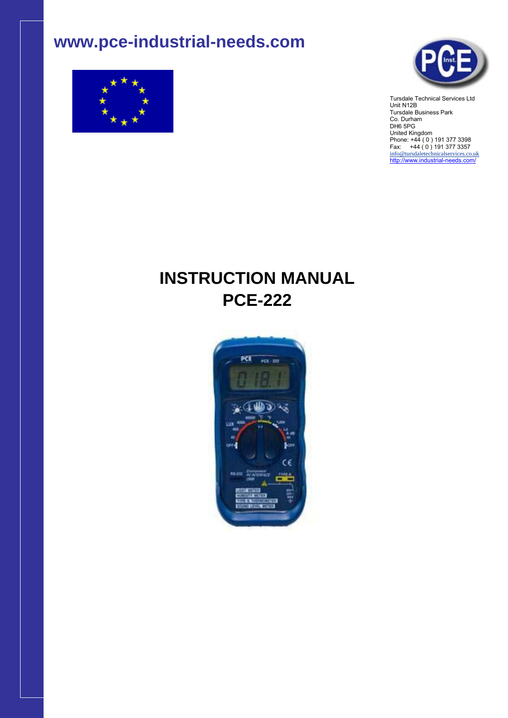# **www.pce-industrial-needs.com**





Tursdale Technical Services Ltd Unit N12B Tursdale Business Park Co. Durham DH6 5PG United Kingdom Phone: +44 ( 0 ) 191 377 3398 Fax: +44 ( 0 ) 191 377 3357 info@tursdaletechnicalservices.co.uk http://www.industrial-needs.com/

# **INSTRUCTION MANUAL PCE-222**

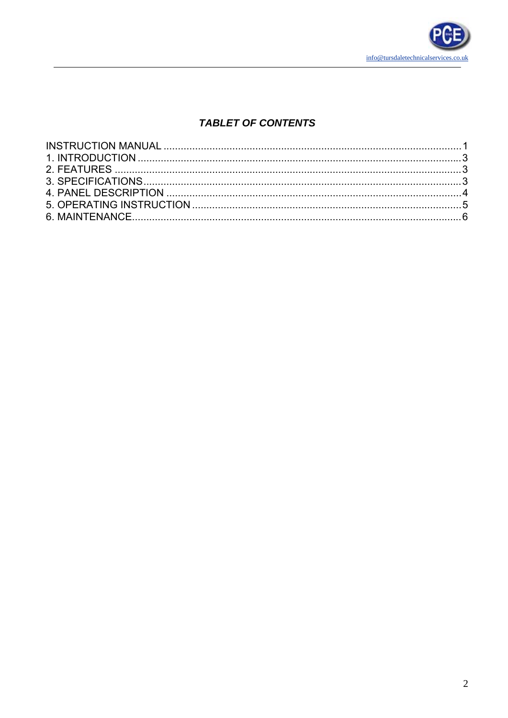

# **TABLET OF CONTENTS**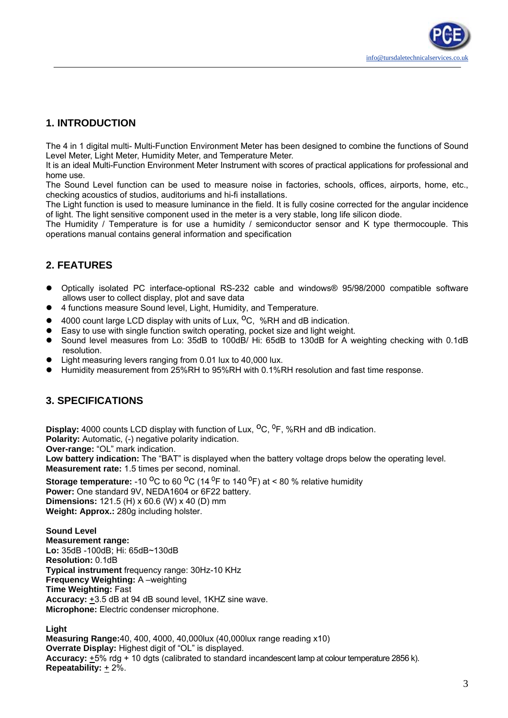# **1. INTRODUCTION**

The 4 in 1 digital multi- Multi-Function Environment Meter has been designed to combine the functions of Sound Level Meter, Light Meter, Humidity Meter, and Temperature Meter.

It is an ideal Multi-Function Environment Meter Instrument with scores of practical applications for professional and home use.

The Sound Level function can be used to measure noise in factories, schools, offices, airports, home, etc., checking acoustics of studios, auditoriums and hi-fi installations.

The Light function is used to measure luminance in the field. It is fully cosine corrected for the angular incidence of light. The light sensitive component used in the meter is a very stable, long life silicon diode.

The Humidity / Temperature is for use a humidity / semiconductor sensor and K type thermocouple. This operations manual contains general information and specification

# **2. FEATURES**

- Optically isolated PC interface-optional RS-232 cable and windows<sup>®</sup> 95/98/2000 compatible software allows user to collect display, plot and save data
- 4 functions measure Sound level, Light, Humidity, and Temperature.
- 4000 count large LCD display with units of Lux,  $^{\circ}$ C, %RH and dB indication.
- Easy to use with single function switch operating, pocket size and light weight.
- Sound level measures from Lo: 35dB to 100dB/ Hi: 65dB to 130dB for A weighting checking with 0.1dB resolution.
- Light measuring levers ranging from 0.01 lux to 40,000 lux.
- Humidity measurement from 25%RH to 95%RH with 0.1%RH resolution and fast time response.

## **3. SPECIFICATIONS**

**Display:** 4000 counts LCD display with function of Lux, <sup>O</sup>C, <sup>0</sup>F, %RH and dB indication.

**Polarity:** Automatic, (-) negative polarity indication.

**Over-range:** "OL" mark indication.

**Low battery indication:** The "BAT" is displayed when the battery voltage drops below the operating level. **Measurement rate:** 1.5 times per second, nominal.

**Storage temperature:** -10 <sup>o</sup>C to 60 <sup>o</sup>C (14 <sup>o</sup>F to 140 <sup>o</sup>F) at < 80 % relative humidity **Power:** One standard 9V, NEDA1604 or 6F22 battery. **Dimensions:** 121.5 (H) x 60.6 (W) x 40 (D) mm **Weight: Approx.:** 280g including holster.

**Sound Level Measurement range: Lo:** 35dB -100dB; Hi: 65dB~130dB **Resolution:** 0.1dB **Typical instrument** frequency range: 30Hz-10 KHz **Frequency Weighting:** A –weighting **Time Weighting:** Fast **Accuracy:** +3.5 dB at 94 dB sound level, 1KHZ sine wave. **Microphone:** Electric condenser microphone.

#### **Light**

**Measuring Range:**40, 400, 4000, 40,000lux (40,000lux range reading x10) **Overrate Display:** Highest digit of "OL" is displayed. **Accuracy:** +5% rdg + 10 dgts (calibrated to standard incandescent lamp at colour temperature 2856 k). **Repeatability:** + 2%.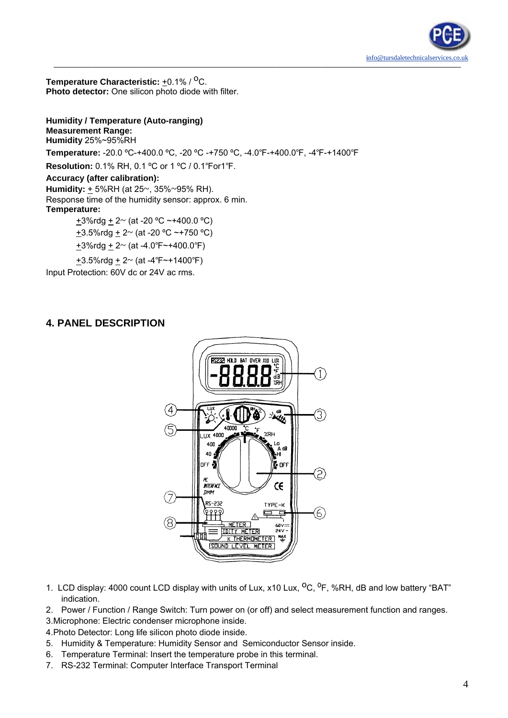

Temperature Characteristic: +0.1% / <sup>O</sup>C. Photo detector: One silicon photo diode with filter.

**Humidity / Temperature (Auto-ranging) Measurement Range:** Humidity 25%~95%RH Temperature: -20.0 °C-+400.0 °C, -20 °C -+750 °C, -4.0°F-+400.0°F, -4°F-+1400°F Resolution: 0.1% RH, 0.1 °C or 1 °C / 0.1°For1°F. **Accuracy (after calibration):** Humidity:  $\pm$  5%RH (at 25~, 35%~95% RH). Response time of the humidity sensor: approx. 6 min. Temperature: +3%rdg +  $2 \sim$  (at -20 °C ~+400.0 °C) +3.5%rdg + 2~ (at -20 °C ~+750 °C) +3%rdg +  $2 \sim$  (at -4.0°F $\sim$ +400.0°F)

+3.5%rdg + 2~ (at -4°F~+1400°F) Input Protection: 60V dc or 24V ac rms.

## **4. PANEL DESCRIPTION**



- 1. LCD display: 4000 count LCD display with units of Lux, x10 Lux, <sup>O</sup>C, <sup>O</sup>F, %RH, dB and low battery "BAT" indication.
- 2. Power / Function / Range Switch: Turn power on (or off) and select measurement function and ranges.

3. Microphone: Electric condenser microphone inside.

4. Photo Detector: Long life silicon photo diode inside.

- 5. Humidity & Temperature: Humidity Sensor and Semiconductor Sensor inside.
- 6. Temperature Terminal: Insert the temperature probe in this terminal.
- 7. RS-232 Terminal: Computer Interface Transport Terminal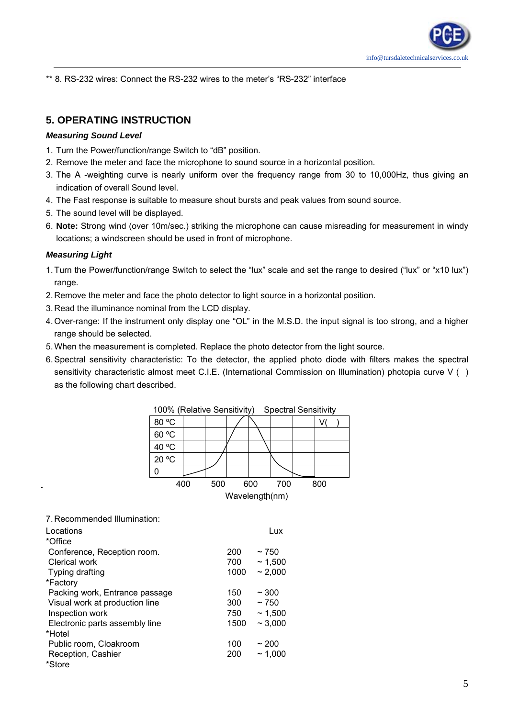\*\* 8. RS-232 wires: Connect the RS-232 wires to the meter's "RS-232" interface

## **5. OPERATING INSTRUCTION**

#### *Measuring Sound Level*

- 1. Turn the Power/function/range Switch to "dB" position.
- 2. Remove the meter and face the microphone to sound source in a horizontal position.
- 3. The A -weighting curve is nearly uniform over the frequency range from 30 to 10,000Hz, thus giving an indication of overall Sound level.
- 4. The Fast response is suitable to measure shout bursts and peak values from sound source.
- 5. The sound level will be displayed.
- 6. **Note:** Strong wind (over 10m/sec.) striking the microphone can cause misreading for measurement in windy locations; a windscreen should be used in front of microphone.

#### *Measuring Light*

- 1. Turn the Power/function/range Switch to select the "lux" scale and set the range to desired ("lux" or "x10 lux") range.
- 2. Remove the meter and face the photo detector to light source in a horizontal position.
- 3. Read the illuminance nominal from the LCD display.
- 4. Over-range: If the instrument only display one "OL" in the M.S.D. the input signal is too strong, and a higher range should be selected.
- 5. When the measurement is completed. Replace the photo detector from the light source.
- 6. Spectral sensitivity characteristic: To the detector, the applied photo diode with filters makes the spectral sensitivity characteristic almost meet C.I.E. (International Commission on Illumination) photopia curve V () as the following chart described.

| 100% (Relative Sensitivity)<br><b>Spectral Sensitivity</b> |  |     |  |     |     |  |     |  |
|------------------------------------------------------------|--|-----|--|-----|-----|--|-----|--|
| 80 °C                                                      |  |     |  |     |     |  | V   |  |
| 60 °C                                                      |  |     |  |     |     |  |     |  |
| 40 °C                                                      |  |     |  |     |     |  |     |  |
| 20 °C                                                      |  |     |  |     |     |  |     |  |
|                                                            |  |     |  |     |     |  |     |  |
| 400                                                        |  | 500 |  | 600 | 700 |  | 800 |  |
| Wavelength(nm)                                             |  |     |  |     |     |  |     |  |
|                                                            |  |     |  |     |     |  |     |  |

7. Recommended Illumination:

| Locations                      |      | Lux      |
|--------------------------------|------|----------|
| *Office                        |      |          |
| Conference, Reception room.    | 200  | $~1$ 750 |
| Clerical work                  | 700  | ~1.500   |
| Typing drafting                | 1000 | ~2,000   |
| *Factory                       |      |          |
| Packing work, Entrance passage | 150  | ~100     |
| Visual work at production line | 300  | ~1750    |
| Inspection work                | 750  | ~1,500   |
| Electronic parts assembly line | 1500 | ~1000    |
| *Hotel                         |      |          |
| Public room, Cloakroom         | 100  | ~200     |
| Reception, Cashier             | 200  | ~1,000   |
| *Store                         |      |          |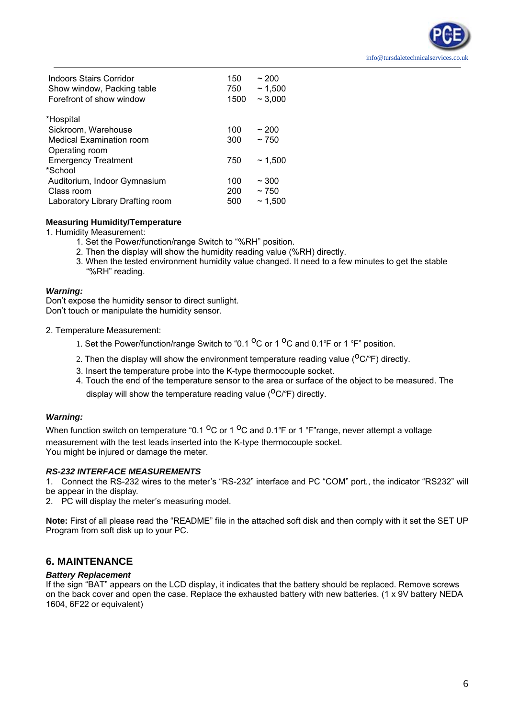| Forefront of show window<br>~1,000<br>1500        |        |
|---------------------------------------------------|--------|
| *Hospital                                         |        |
| Sickroom, Warehouse<br>100<br>~200                |        |
| ~1750<br><b>Medical Examination room</b><br>300   |        |
| Operating room                                    |        |
| <b>Emergency Treatment</b><br>750                 | ~1.500 |
| *School                                           |        |
| Auditorium, Indoor Gymnasium<br>~100<br>100       |        |
| 200<br>~1750<br>Class room                        |        |
| Laboratory Library Drafting room<br>~1.500<br>500 |        |

#### **Measuring Humidity/Temperature**

1. Humidity Measurement:

- 1. Set the Power/function/range Switch to "%RH" position.
- 2. Then the display will show the humidity reading value (%RH) directly.
- 3. When the tested environment humidity value changed. It need to a few minutes to get the stable "%RH" reading.

#### *Warning:*

Don't expose the humidity sensor to direct sunlight. Don't touch or manipulate the humidity sensor.

- 2. Temperature Measurement:
	- 1. Set the Power/function/range Switch to "0.1  $^{\circ}$ C or 1  $^{\circ}$ C and 0.1°F or 1 °F" position.
	- 2. Then the display will show the environment temperature reading value ( $O\text{C/P}$ ) directly.
	- 3. Insert the temperature probe into the K-type thermocouple socket.
	- 4. Touch the end of the temperature sensor to the area or surface of the object to be measured. The display will show the temperature reading value ( $^{\circ}$ C/°F) directly.

#### *Warning:*

When function switch on temperature "0.1  $^{\circ}$ C or 1  $^{\circ}$ C and 0.1°F or 1 °F" range, never attempt a voltage measurement with the test leads inserted into the K-type thermocouple socket. You might be injured or damage the meter.

#### *RS-232 INTERFACE MEASUREMENTS*

1. Connect the RS-232 wires to the meter's "RS-232" interface and PC "COM" port., the indicator "RS232" will be appear in the display.

2. PC will display the meter's measuring model.

**Note:** First of all please read the "README" file in the attached soft disk and then comply with it set the SET UP Program from soft disk up to your PC.

### **6. MAINTENANCE**

#### *Battery Replacement*

If the sign "BAT" appears on the LCD display, it indicates that the battery should be replaced. Remove screws on the back cover and open the case. Replace the exhausted battery with new batteries. (1 x 9V battery NEDA 1604, 6F22 or equivalent)